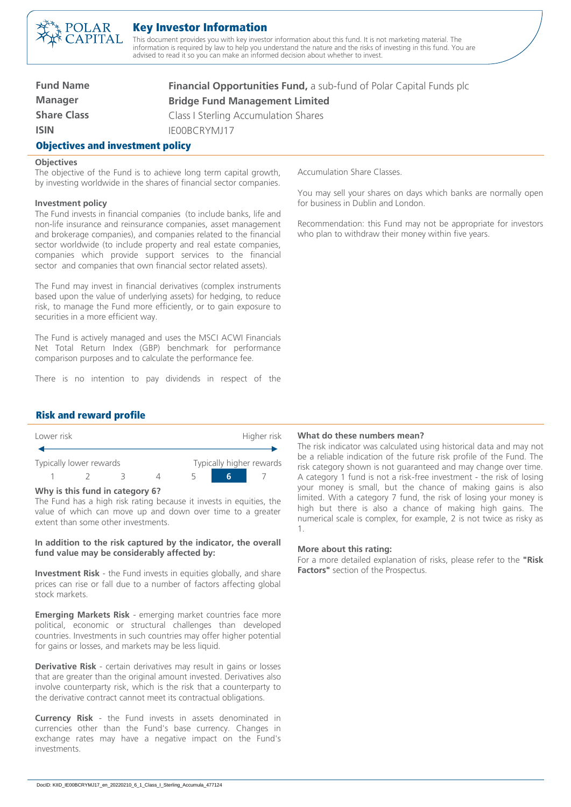

# Key Investor Information

This document provides you with key investor information about this fund. It is not marketing material. The information is required by law to help you understand the nature and the risks of investing in this fund. You are advised to read it so you can make an informed decision about whether to invest.

| <b>Fund Name</b>                        | <b>Financial Opportunities Fund, a sub-fund of Polar Capital Funds plc</b> |  |
|-----------------------------------------|----------------------------------------------------------------------------|--|
| <b>Manager</b>                          | <b>Bridge Fund Management Limited</b>                                      |  |
| <b>Share Class</b>                      | <b>Class I Sterling Accumulation Shares</b>                                |  |
| <b>ISIN</b>                             | IFOORCRYMJ17                                                               |  |
| <b>Objectives and investment policy</b> |                                                                            |  |

### **Objectives**

The objective of the Fund is to achieve long term capital growth, by investing worldwide in the shares of financial sector companies.

### **Investment policy**

The Fund invests in financial companies (to include banks, life and non-life insurance and reinsurance companies, asset management and brokerage companies), and companies related to the financial sector worldwide (to include property and real estate companies, companies which provide support services to the financial sector and companies that own financial sector related assets).

The Fund may invest in financial derivatives (complex instruments based upon the value of underlying assets) for hedging, to reduce risk, to manage the Fund more efficiently, or to gain exposure to securities in a more efficient way.

The Fund is actively managed and uses the MSCI ACWI Financials Net Total Return Index (GBP) benchmark for performance comparison purposes and to calculate the performance fee.

There is no intention to pay dividends in respect of the

Accumulation Share Classes.

You may sell your shares on days which banks are normally open for business in Dublin and London.

Recommendation: this Fund may not be appropriate for investors who plan to withdraw their money within five years.

# Risk and reward profile

| Lower risk |                         |  |  | Higher risk |  |                          |
|------------|-------------------------|--|--|-------------|--|--------------------------|
|            | Typically lower rewards |  |  |             |  | Typically higher rewards |
|            |                         |  |  |             |  |                          |

#### **Why is this fund in category 6?**

The Fund has a high risk rating because it invests in equities, the value of which can move up and down over time to a greater extent than some other investments.

## **In addition to the risk captured by the indicator, the overall fund value may be considerably affected by:**

**Investment Risk** - the Fund invests in equities globally, and share prices can rise or fall due to a number of factors affecting global stock markets.

**Emerging Markets Risk** - emerging market countries face more political, economic or structural challenges than developed countries. Investments in such countries may offer higher potential for gains or losses, and markets may be less liquid.

**Derivative Risk** - certain derivatives may result in gains or losses that are greater than the original amount invested. Derivatives also involve counterparty risk, which is the risk that a counterparty to the derivative contract cannot meet its contractual obligations.

**Currency Risk** - the Fund invests in assets denominated in currencies other than the Fund's base currency. Changes in exchange rates may have a negative impact on the Fund's investments.

## **What do these numbers mean?**

The risk indicator was calculated using historical data and may not be a reliable indication of the future risk profile of the Fund. The risk category shown is not guaranteed and may change over time. A category 1 fund is not a risk-free investment - the risk of losing your money is small, but the chance of making gains is also limited. With a category 7 fund, the risk of losing your money is high but there is also a chance of making high gains. The numerical scale is complex, for example, 2 is not twice as risky as 1.

#### **More about this rating:**

For a more detailed explanation of risks, please refer to the **"Risk Factors"** section of the Prospectus.